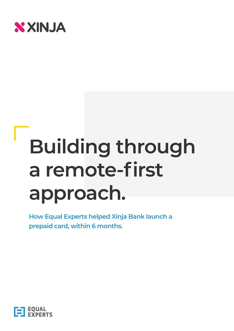

# **Building through a remote-first approach.**

**How Equal Experts helped Xinja Bank launch a prepaid card, within 6 months.**

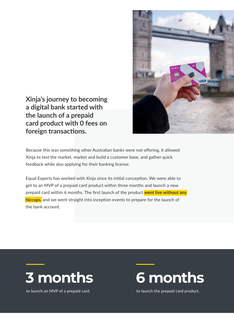

**Xinja's journey to becoming a digital bank started with the launch of a prepaid card product with 0 fees on foreign transactions.**

Because this was something other Australian banks were not offering, it allowed Xinja to test the market, market and build a customer base, and gather quick feedback while also applying for their banking license.

Equal Experts has worked with Xinja since its initial conception. We were able to get to an MVP of a prepaid card product within three months and launch a new prepaid card within 6 months. The first launch of the product **went live without any hiccups**, and we went straight into inception events to prepare for the launch of the bank account.



to launch an MVP of a prepaid card.



to launch the prepaid card product.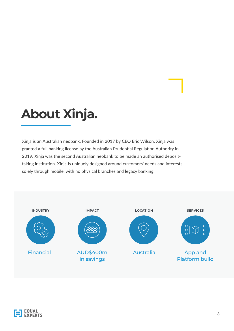### **About Xinja.**

Xinja is an Australian neobank. Founded in 2017 by CEO Eric Wilson, Xinja was granted a full banking license by the Australian Prudential Regulation Authority in 2019. Xinja was the second Australian neobank to be made an authorised deposittaking institution. Xinja is uniquely designed around customers' needs and interests solely through mobile, with no physical branches and legacy banking.



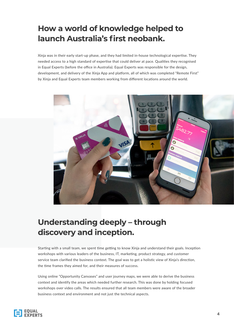#### **How a world of knowledge helped to launch Australia's first neobank.**

Xinja was in their early start-up phase, and they had limited in-house technological expertise. They needed access to a high standard of expertise that could deliver at pace. Qualities they recognised in Equal Experts (before the office in Australia). Equal Experts was responsible for the design, development, and delivery of the Xinja App and platform, all of which was completed "Remote First" by Xinja and Equal Experts team members working from different locations around the world.



#### **Understanding deeply – through discovery and inception.**

Starting with a small team, we spent time getting to know Xinja and understand their goals. Inception workshops with various leaders of the business, IT, marketing, product strategy, and customer service team clarified the business context. The goal was to get a holistic view of Xinja's direction, the time frames they aimed for, and their measures of success.

Using online "Opportunity Canvases" and user journey maps, we were able to derive the business context and identify the areas which needed further research. This was done by holding focused workshops over video calls. The results ensured that all team members were aware of the broader business context and environment and not just the technical aspects.

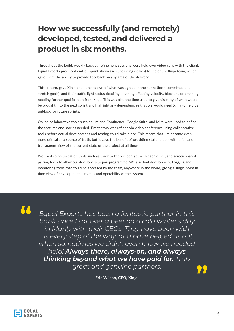#### **How we successfully (and remotely) developed, tested, and delivered a product in six months.**

Throughout the build, weekly backlog refinement sessions were held over video calls with the client. Equal Experts produced end-of-sprint showcases (including demos) to the entire Xinja team, which gave them the ability to provide feedback on any area of the delivery.

This, in turn, gave Xinja a full breakdown of what was agreed in the sprint (both committed and stretch goals), and their traffic light status detailing anything affecting velocity, blockers, or anything needing further qualification from Xinja. This was also the time used to give visibility of what would be brought into the next sprint and highlight any dependencies that we would need Xinja to help us unblock for future sprints.

Online collaborative tools such as Jira and Confluence, Google Suite, and Miro were used to define the features and stories needed. Every story was refined via video conference using collaborative tools before actual development and testing could take place. This meant that Jira became even more critical as a source of truth, but it gave the benefit of providing stakeholders with a full and transparent view of the current state of the project at all times.

We used communication tools such as Slack to keep in contact with each other, and screen shared pairing tools to allow our developers to pair programme. We also had development Logging and monitoring tools that could be accessed by the team, anywhere in the world, giving a single point in time view of development activities and operability of the system.

**"**

*Equal Experts has been a fantastic partner in this bank since I sat over a beer on a cold winter's day in Manly with their CEOs. They have been with us every step of the way, and have helped us out when sometimes we didn't even know we needed help! Always there, always-on, and always thinking beyond what we have paid for. Truly great and genuine partners.*

**Eric Wilson, CEO, Xinja.**



**"**